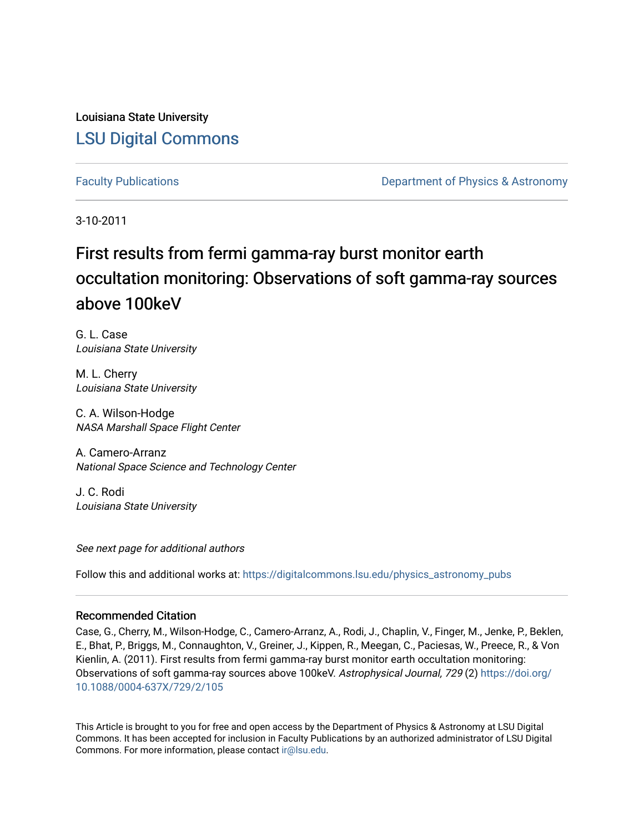Louisiana State University [LSU Digital Commons](https://digitalcommons.lsu.edu/)

[Faculty Publications](https://digitalcommons.lsu.edu/physics_astronomy_pubs) **Exercise 2 and Table 2 and Table 2 and Table 2 and Table 2 and Table 2 and Table 2 and Table 2 and Table 2 and Table 2 and Table 2 and Table 2 and Table 2 and Table 2 and Table 2 and Table 2 and Table** 

3-10-2011

# First results from fermi gamma-ray burst monitor earth occultation monitoring: Observations of soft gamma-ray sources above 100keV

G. L. Case Louisiana State University

M. L. Cherry Louisiana State University

C. A. Wilson-Hodge NASA Marshall Space Flight Center

A. Camero-Arranz National Space Science and Technology Center

J. C. Rodi Louisiana State University

See next page for additional authors

Follow this and additional works at: [https://digitalcommons.lsu.edu/physics\\_astronomy\\_pubs](https://digitalcommons.lsu.edu/physics_astronomy_pubs?utm_source=digitalcommons.lsu.edu%2Fphysics_astronomy_pubs%2F677&utm_medium=PDF&utm_campaign=PDFCoverPages) 

# Recommended Citation

Case, G., Cherry, M., Wilson-Hodge, C., Camero-Arranz, A., Rodi, J., Chaplin, V., Finger, M., Jenke, P., Beklen, E., Bhat, P., Briggs, M., Connaughton, V., Greiner, J., Kippen, R., Meegan, C., Paciesas, W., Preece, R., & Von Kienlin, A. (2011). First results from fermi gamma-ray burst monitor earth occultation monitoring: Observations of soft gamma-ray sources above 100keV. Astrophysical Journal, 729 (2) [https://doi.org/](https://doi.org/10.1088/0004-637X/729/2/105) [10.1088/0004-637X/729/2/105](https://doi.org/10.1088/0004-637X/729/2/105)

This Article is brought to you for free and open access by the Department of Physics & Astronomy at LSU Digital Commons. It has been accepted for inclusion in Faculty Publications by an authorized administrator of LSU Digital Commons. For more information, please contact [ir@lsu.edu](mailto:ir@lsu.edu).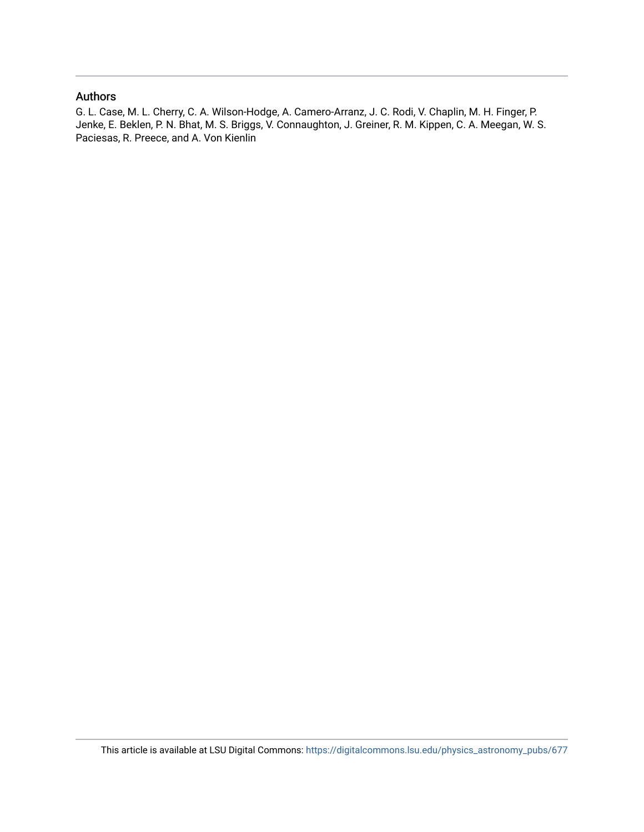# Authors

G. L. Case, M. L. Cherry, C. A. Wilson-Hodge, A. Camero-Arranz, J. C. Rodi, V. Chaplin, M. H. Finger, P. Jenke, E. Beklen, P. N. Bhat, M. S. Briggs, V. Connaughton, J. Greiner, R. M. Kippen, C. A. Meegan, W. S. Paciesas, R. Preece, and A. Von Kienlin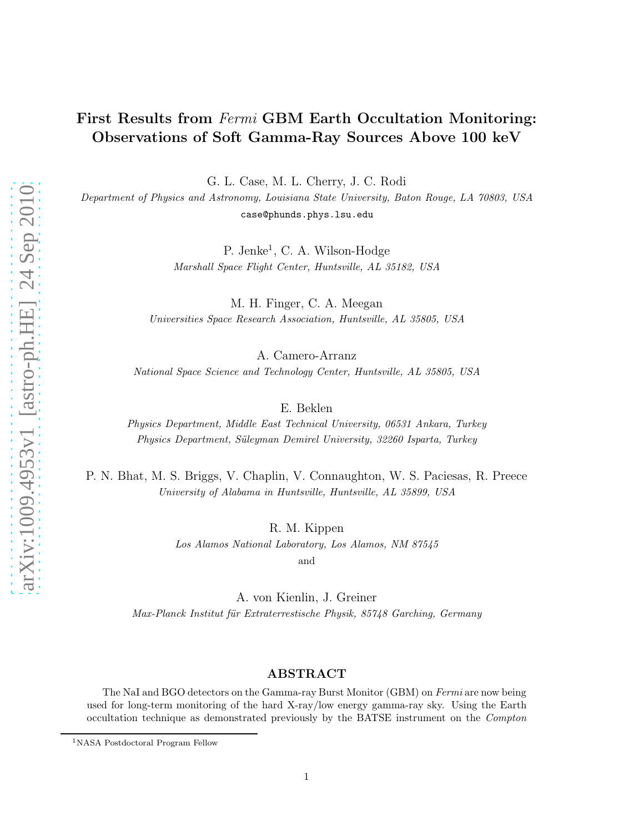# First Results from Fermi GBM Earth Occultation Monitoring: Observations of Soft Gamma-Ray Sources Above 100 keV

G. L. Case, M. L. Cherry, J. C. Rodi

Department of Physics and Astronomy, Louisiana State University, Baton Rouge, LA 70803, USA case@phunds.phys.lsu.edu

> P. Jenke<sup>1</sup>, C. A. Wilson-Hodge Marshall Space Flight Center, Huntsville, AL 35182, USA

M. H. Finger, C. A. Meegan Universities Space Research Association, Huntsville, AL 35805, USA

A. Camero-Arranz

National Space Science and Technology Center, Huntsville, AL 35805, USA

E. Beklen

Physics Department, Middle East Technical University, 06531 Ankara, Turkey Physics Department, Süleyman Demirel University, 32260 Isparta, Turkey

P. N. Bhat, M. S. Briggs, V. Chaplin, V. Connaughton, W. S. Paciesas, R. Preece University of Alabama in Huntsville, Huntsville, AL 35899, USA

R. M. Kippen

Los Alamos National Laboratory, Los Alamos, NM 87545

and

A. von Kienlin, J. Greiner Max-Planck Institut für Extraterrestische Physik, 85748 Garching, Germany

# ABSTRACT

The NaI and BGO detectors on the Gamma-ray Burst Monitor (GBM) on Fermi are now being used for long-term monitoring of the hard X-ray/low energy gamma-ray sky. Using the Earth occultation technique as demonstrated previously by the BATSE instrument on the Compton

<sup>&</sup>lt;sup>1</sup>NASA Postdoctoral Program Fellow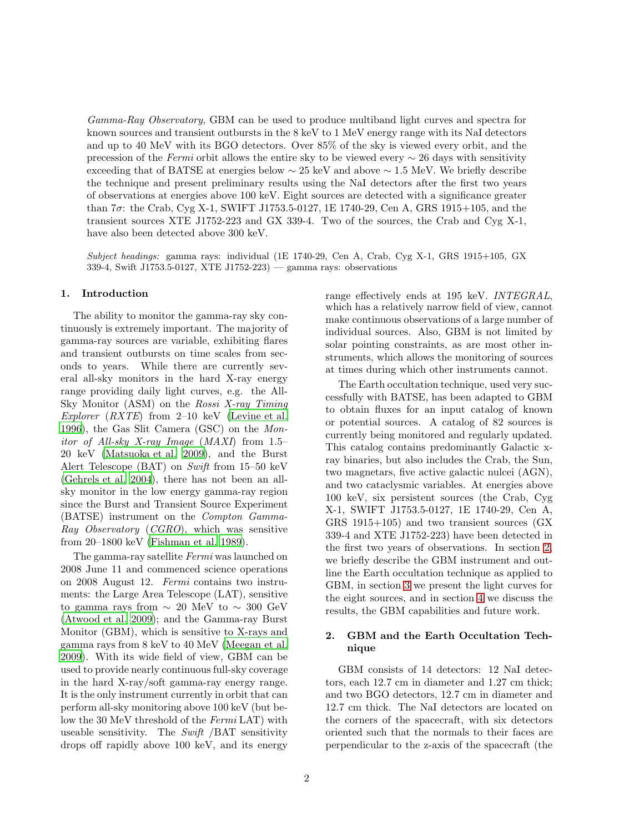Gamma-Ray Observatory, GBM can be used to produce multiband light curves and spectra for known sources and transient outbursts in the 8 keV to 1 MeV energy range with its NaI detectors and up to 40 MeV with its BGO detectors. Over 85% of the sky is viewed every orbit, and the precession of the Fermi orbit allows the entire sky to be viewed every  $\sim$  26 days with sensitivity exceeding that of BATSE at energies below  $\sim 25 \text{ keV}$  and above  $\sim 1.5 \text{ MeV}$ . We briefly describe the technique and present preliminary results using the NaI detectors after the first two years of observations at energies above 100 keV. Eight sources are detected with a significance greater than  $7\sigma$ : the Crab, Cyg X-1, SWIFT J1753.5-0127, 1E 1740-29, Cen A, GRS 1915+105, and the transient sources XTE J1752-223 and GX 339-4. Two of the sources, the Crab and Cyg X-1, have also been detected above 300 keV.

Subject headings: gamma rays: individual (1E 1740-29, Cen A, Crab, Cyg X-1, GRS 1915+105, GX 339-4, Swift J1753.5-0127, XTE J1752-223) — gamma rays: observations

#### 1. Introduction

The ability to monitor the gamma-ray sky continuously is extremely important. The majority of gamma-ray sources are variable, exhibiting flares and transient outbursts on time scales from seconds to years. While there are currently several all-sky monitors in the hard X-ray energy range providing daily light curves, e.g. the All-Sky Monitor (ASM) on the Rossi X-ray Timing Explorer  $(RXTE)$  from 2–10 keV [\(Levine et al.](#page-13-0) [1996\)](#page-13-0), the Gas Slit Camera (GSC) on the Mon*itor of All-sky X-ray Image (MAXI)* from  $1.5-$ 20 keV [\(Matsuoka et al. 2009\)](#page-13-1), and the Burst Alert Telescope (BAT) on Swift from 15–50 keV [\(Gehrels et al. 2004](#page-13-2)), there has not been an allsky monitor in the low energy gamma-ray region since the Burst and Transient Source Experiment (BATSE) instrument on the Compton Gamma-Ray Observatory (CGRO), which was sensitive from 20–1800 keV [\(Fishman et al. 1989\)](#page-13-3).

The gamma-ray satellite Fermi was launched on 2008 June 11 and commenced science operations on 2008 August 12. Fermi contains two instruments: the Large Area Telescope (LAT), sensitive to gamma rays from  $\sim 20$  MeV to  $\sim 300$  GeV [\(Atwood et al. 2009\)](#page-13-4); and the Gamma-ray Burst Monitor (GBM), which is sensitive to X-rays and gamma rays from 8 keV to 40 MeV [\(Meegan et al.](#page-14-0) [2009\)](#page-14-0). With its wide field of view, GBM can be used to provide nearly continuous full-sky coverage in the hard X-ray/soft gamma-ray energy range. It is the only instrument currently in orbit that can perform all-sky monitoring above 100 keV (but below the 30 MeV threshold of the Fermi LAT) with useable sensitivity. The Swift  $/BAT$  sensitivity drops off rapidly above 100 keV, and its energy

range effectively ends at 195 keV. INTEGRAL, which has a relatively narrow field of view, cannot make continuous observations of a large number of individual sources. Also, GBM is not limited by solar pointing constraints, as are most other instruments, which allows the monitoring of sources at times during which other instruments cannot.

The Earth occultation technique, used very successfully with BATSE, has been adapted to GBM to obtain fluxes for an input catalog of known or potential sources. A catalog of 82 sources is currently being monitored and regularly updated. This catalog contains predominantly Galactic xray binaries, but also includes the Crab, the Sun, two magnetars, five active galactic nulcei (AGN), and two cataclysmic variables. At energies above 100 keV, six persistent sources (the Crab, Cyg X-1, SWIFT J1753.5-0127, 1E 1740-29, Cen A, GRS 1915+105) and two transient sources (GX 339-4 and XTE J1752-223) have been detected in the first two years of observations. In section [2,](#page-3-0) we briefly describe the GBM instrument and outline the Earth occultation technique as applied to GBM, in section [3](#page-5-0) we present the light curves for the eight sources, and in section [4](#page-11-0) we discuss the results, the GBM capabilities and future work.

# <span id="page-3-0"></span>2. GBM and the Earth Occultation Technique

GBM consists of 14 detectors: 12 NaI detectors, each 12.7 cm in diameter and 1.27 cm thick; and two BGO detectors, 12.7 cm in diameter and 12.7 cm thick. The NaI detectors are located on the corners of the spacecraft, with six detectors oriented such that the normals to their faces are perpendicular to the z-axis of the spacecraft (the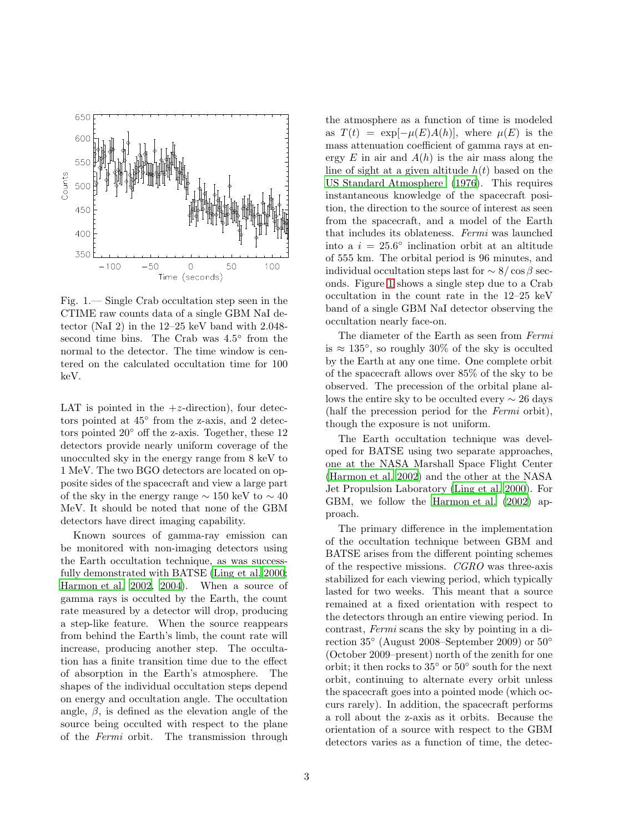

<span id="page-4-0"></span>Fig. 1.— Single Crab occultation step seen in the CTIME raw counts data of a single GBM NaI detector (NaI 2) in the 12–25 keV band with 2.048 second time bins. The Crab was  $4.5^{\circ}$  from the normal to the detector. The time window is centered on the calculated occultation time for 100 keV.

LAT is pointed in the  $+z$ -direction), four detectors pointed at  $45^{\circ}$  from the z-axis, and 2 detectors pointed 20◦ off the z-axis. Together, these 12 detectors provide nearly uniform coverage of the unocculted sky in the energy range from 8 keV to 1 MeV. The two BGO detectors are located on opposite sides of the spacecraft and view a large part of the sky in the energy range  $\sim 150 \text{ keV}$  to  $\sim 40$ MeV. It should be noted that none of the GBM detectors have direct imaging capability.

Known sources of gamma-ray emission can be monitored with non-imaging detectors using the Earth occultation technique, as was successfully demonstrated with BATSE [\(Ling et al. 2000;](#page-13-5) [Harmon et al. 2002,](#page-13-6) [2004\)](#page-13-7). When a source of gamma rays is occulted by the Earth, the count rate measured by a detector will drop, producing a step-like feature. When the source reappears from behind the Earth's limb, the count rate will increase, producing another step. The occultation has a finite transition time due to the effect of absorption in the Earth's atmosphere. The shapes of the individual occultation steps depend on energy and occultation angle. The occultation angle,  $\beta$ , is defined as the elevation angle of the source being occulted with respect to the plane of the Fermi orbit. The transmission through

the atmosphere as a function of time is modeled as  $T(t) = \exp[-\mu(E)A(h)],$  where  $\mu(E)$  is the mass attenuation coefficient of gamma rays at energy E in air and  $A(h)$  is the air mass along the line of sight at a given altitude  $h(t)$  based on the [US Standard Atmosphere \(1976\)](#page-14-1). This requires instantaneous knowledge of the spacecraft position, the direction to the source of interest as seen from the spacecraft, and a model of the Earth that includes its oblateness. Fermi was launched into a  $i = 25.6^{\circ}$  inclination orbit at an altitude of 555 km. The orbital period is 96 minutes, and individual occultation steps last for  $\sim 8/\cos \beta$  seconds. Figure [1](#page-4-0) shows a single step due to a Crab occultation in the count rate in the 12–25 keV band of a single GBM NaI detector observing the occultation nearly face-on.

The diameter of the Earth as seen from Fermi is  $\approx 135^{\circ}$ , so roughly 30% of the sky is occulted by the Earth at any one time. One complete orbit of the spacecraft allows over 85% of the sky to be observed. The precession of the orbital plane allows the entire sky to be occulted every  $\sim$  26 days (half the precession period for the Fermi orbit), though the exposure is not uniform.

The Earth occultation technique was developed for BATSE using two separate approaches, one at the NASA Marshall Space Flight Center [\(Harmon et al. 2002\)](#page-13-6) and the other at the NASA Jet Propulsion Laboratory [\(Ling et al. 2000](#page-13-5)). For GBM, we follow the [Harmon et al. \(2002\)](#page-13-6) approach.

The primary difference in the implementation of the occultation technique between GBM and BATSE arises from the different pointing schemes of the respective missions. CGRO was three-axis stabilized for each viewing period, which typically lasted for two weeks. This meant that a source remained at a fixed orientation with respect to the detectors through an entire viewing period. In contrast, Fermi scans the sky by pointing in a direction 35◦ (August 2008–September 2009) or 50◦ (October 2009–present) north of the zenith for one orbit; it then rocks to  $35^{\circ}$  or  $50^{\circ}$  south for the next orbit, continuing to alternate every orbit unless the spacecraft goes into a pointed mode (which occurs rarely). In addition, the spacecraft performs a roll about the z-axis as it orbits. Because the orientation of a source with respect to the GBM detectors varies as a function of time, the detec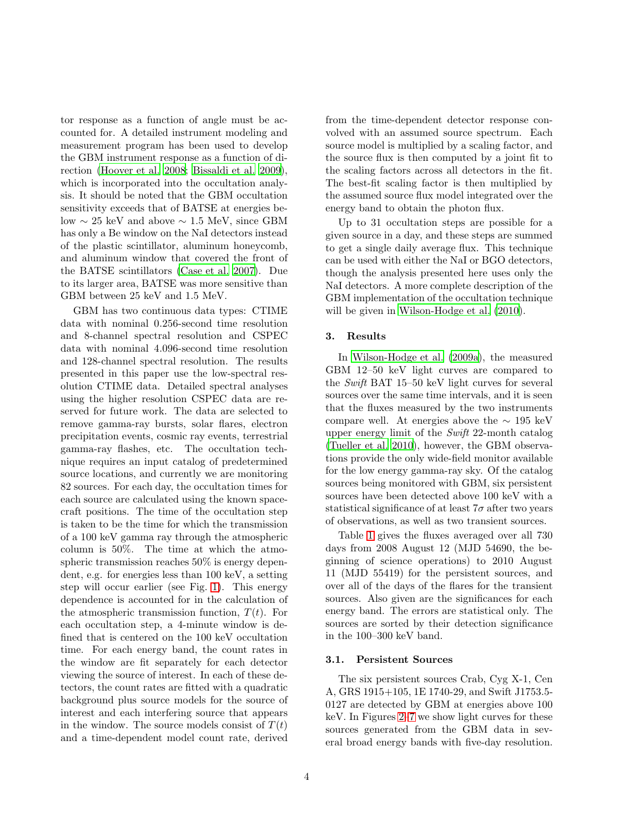tor response as a function of angle must be accounted for. A detailed instrument modeling and measurement program has been used to develop the GBM instrument response as a function of direction [\(Hoover et al. 2008;](#page-13-8) [Bissaldi et al. 2009\)](#page-13-9), which is incorporated into the occultation analysis. It should be noted that the GBM occultation sensitivity exceeds that of BATSE at energies below  $\sim 25$  keV and above  $\sim 1.5$  MeV, since GBM has only a Be window on the NaI detectors instead of the plastic scintillator, aluminum honeycomb, and aluminum window that covered the front of the BATSE scintillators [\(Case et al. 2007\)](#page-13-10). Due to its larger area, BATSE was more sensitive than GBM between 25 keV and 1.5 MeV.

GBM has two continuous data types: CTIME data with nominal 0.256-second time resolution and 8-channel spectral resolution and CSPEC data with nominal 4.096-second time resolution and 128-channel spectral resolution. The results presented in this paper use the low-spectral resolution CTIME data. Detailed spectral analyses using the higher resolution CSPEC data are reserved for future work. The data are selected to remove gamma-ray bursts, solar flares, electron precipitation events, cosmic ray events, terrestrial gamma-ray flashes, etc. The occultation technique requires an input catalog of predetermined source locations, and currently we are monitoring 82 sources. For each day, the occultation times for each source are calculated using the known spacecraft positions. The time of the occultation step is taken to be the time for which the transmission of a 100 keV gamma ray through the atmospheric column is 50%. The time at which the atmospheric transmission reaches 50% is energy dependent, e.g. for energies less than 100 keV, a setting step will occur earlier (see Fig. [1\)](#page-4-0). This energy dependence is accounted for in the calculation of the atmospheric transmission function,  $T(t)$ . For each occultation step, a 4-minute window is defined that is centered on the 100 keV occultation time. For each energy band, the count rates in the window are fit separately for each detector viewing the source of interest. In each of these detectors, the count rates are fitted with a quadratic background plus source models for the source of interest and each interfering source that appears in the window. The source models consist of  $T(t)$ and a time-dependent model count rate, derived

from the time-dependent detector response convolved with an assumed source spectrum. Each source model is multiplied by a scaling factor, and the source flux is then computed by a joint fit to the scaling factors across all detectors in the fit. The best-fit scaling factor is then multiplied by the assumed source flux model integrated over the energy band to obtain the photon flux.

Up to 31 occultation steps are possible for a given source in a day, and these steps are summed to get a single daily average flux. This technique can be used with either the NaI or BGO detectors, though the analysis presented here uses only the NaI detectors. A more complete description of the GBM implementation of the occultation technique will be given in Wilson-Hodge et al.  $(2010)$ .

# <span id="page-5-0"></span>3. Results

In [Wilson-Hodge et al. \(2009a\)](#page-14-3), the measured GBM 12–50 keV light curves are compared to the Swift BAT 15–50 keV light curves for several sources over the same time intervals, and it is seen that the fluxes measured by the two instruments compare well. At energies above the  $\sim 195 \text{ keV}$ upper energy limit of the Swift 22-month catalog [\(Tueller et al. 2010\)](#page-14-4), however, the GBM observations provide the only wide-field monitor available for the low energy gamma-ray sky. Of the catalog sources being monitored with GBM, six persistent sources have been detected above 100 keV with a statistical significance of at least  $7\sigma$  after two years of observations, as well as two transient sources.

Table [1](#page-6-0) gives the fluxes averaged over all 730 days from 2008 August 12 (MJD 54690, the beginning of science operations) to 2010 August 11 (MJD 55419) for the persistent sources, and over all of the days of the flares for the transient sources. Also given are the significances for each energy band. The errors are statistical only. The sources are sorted by their detection significance in the 100–300 keV band.

#### 3.1. Persistent Sources

The six persistent sources Crab, Cyg X-1, Cen A, GRS 1915+105, 1E 1740-29, and Swift J1753.5- 0127 are detected by GBM at energies above 100 keV. In Figures [2](#page-7-0)[–7](#page-10-0) we show light curves for these sources generated from the GBM data in several broad energy bands with five-day resolution.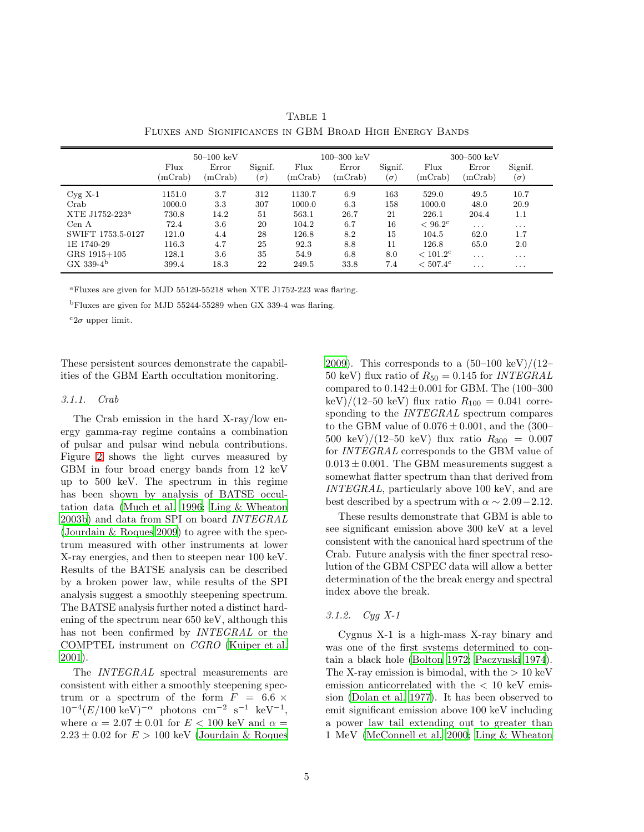|                            | $50 - 100 \text{ keV}$ |                  |                       | $100 - 300 \text{ keV}$ |                  |                       | $300 - 500 \text{ keV}$ |                         |                       |
|----------------------------|------------------------|------------------|-----------------------|-------------------------|------------------|-----------------------|-------------------------|-------------------------|-----------------------|
|                            | Flux<br>(mCrab)        | Error<br>(mCrab) | Signif.<br>$(\sigma)$ | Flux<br>(mCrab)         | Error<br>(mCrab) | Signif.<br>$(\sigma)$ | Flux<br>(mCrab)         | Error<br>(mCrab)        | Signif.<br>$(\sigma)$ |
| $Cyg$ X-1                  | 1151.0                 | 3.7              | 312                   | 1130.7                  | 6.9              | 163                   | 529.0                   | 49.5                    | 10.7                  |
| Crab                       | 1000.0                 | 3.3              | 307                   | 1000.0                  | 6.3              | 158                   | 1000.0                  | 48.0                    | 20.9                  |
| XTE J1752-223 <sup>a</sup> | 730.8                  | 14.2             | 51                    | 563.1                   | 26.7             | 21                    | 226.1                   | 204.4                   | 1.1                   |
| Cen A                      | 72.4                   | 3.6              | 20                    | 104.2                   | 6.7              | 16                    | $< 96.2^{\circ}$        | $\sim$ $\sim$ $\sim$    | $\cdots$              |
| SWIFT 1753.5-0127          | 121.0                  | 4.4              | 28                    | 126.8                   | 8.2              | 15                    | 104.5                   | 62.0                    | 1.7                   |
| 1E 1740-29                 | 116.3                  | 4.7              | 25                    | 92.3                    | 8.8              | 11                    | 126.8                   | 65.0                    | 2.0                   |
| GRS 1915+105               | 128.1                  | 3.6              | 35                    | 54.9                    | 6.8              | 8.0                   | $< 101.2^{\circ}$       | $\cdots$                | $\cdots$              |
| $GX 339-4b$                | 399.4                  | 18.3             | 22                    | 249.5                   | 33.8             | 7.4                   | $< 507.4^{\circ}$       | $\cdot$ $\cdot$ $\cdot$ | $\cdots$              |

<span id="page-6-0"></span>TABLE 1 Fluxes and Significances in GBM Broad High Energy Bands

<sup>a</sup>Fluxes are given for MJD 55129-55218 when XTE J1752-223 was flaring.

<sup>b</sup>Fluxes are given for MJD 55244-55289 when GX 339-4 was flaring.

 $c_{2\sigma}$  upper limit.

These persistent sources demonstrate the capabilities of the GBM Earth occultation monitoring.

#### 3.1.1. Crab

The Crab emission in the hard X-ray/low energy gamma-ray regime contains a combination of pulsar and pulsar wind nebula contributions. Figure [2](#page-7-0) shows the light curves measured by GBM in four broad energy bands from 12 keV up to 500 keV. The spectrum in this regime has been shown by analysis of BATSE occultation data [\(Much et al. 1996](#page-14-5); [Ling & Wheaton](#page-13-11) [2003b](#page-13-11)) and data from SPI on board INTEGRAL [\(Jourdain & Roques 2009\)](#page-13-12) to agree with the spectrum measured with other instruments at lower X-ray energies, and then to steepen near 100 keV. Results of the BATSE analysis can be described by a broken power law, while results of the SPI analysis suggest a smoothly steepening spectrum. The BATSE analysis further noted a distinct hardening of the spectrum near 650 keV, although this has not been confirmed by *INTEGRAL* or the COMPTEL instrument on CGRO [\(Kuiper et al.](#page-13-13) [2001\)](#page-13-13).

The INTEGRAL spectral measurements are consistent with either a smoothly steepening spectrum or a spectrum of the form  $F = 6.6 \times$  $10^{-4} (E/100 \text{ keV})^{-\alpha}$  photons cm<sup>-2</sup> s<sup>-1</sup> keV<sup>-1</sup>, where  $\alpha = 2.07 \pm 0.01$  for  $E < 100$  keV and  $\alpha =$  $2.23 \pm 0.02$  for  $E > 100$  keV [\(Jourdain & Roques](#page-13-12)

[2009\)](#page-13-12). This corresponds to a  $(50-100 \text{ keV})/(12-$ 50 keV) flux ratio of  $R_{50} = 0.145$  for *INTEGRAL* compared to  $0.142 \pm 0.001$  for GBM. The (100-300) keV)/(12–50 keV) flux ratio  $R_{100} = 0.041$  corresponding to the *INTEGRAL* spectrum compares to the GBM value of  $0.076 \pm 0.001$ , and the (300– 500 keV)/(12–50 keV) flux ratio  $R_{300} = 0.007$ for INTEGRAL corresponds to the GBM value of  $0.013 \pm 0.001$ . The GBM measurements suggest a somewhat flatter spectrum than that derived from INTEGRAL, particularly above 100 keV, and are best described by a spectrum with  $\alpha \sim 2.09 - 2.12$ .

These results demonstrate that GBM is able to see significant emission above 300 keV at a level consistent with the canonical hard spectrum of the Crab. Future analysis with the finer spectral resolution of the GBM CSPEC data will allow a better determination of the the break energy and spectral index above the break.

# 3.1.2. Cyg X-1

Cygnus X-1 is a high-mass X-ray binary and was one of the first systems determined to contain a black hole [\(Bolton 1972](#page-13-14); [Paczynski 1974\)](#page-14-6). The X-ray emission is bimodal, with the  $> 10 \text{ keV}$ emission anticorrelated with the < 10 keV emission [\(Dolan et al. 1977\)](#page-13-15). It has been observed to emit significant emission above 100 keV including a power law tail extending out to greater than 1 MeV [\(McConnell et al. 2000;](#page-13-16) [Ling & Wheaton](#page-13-17)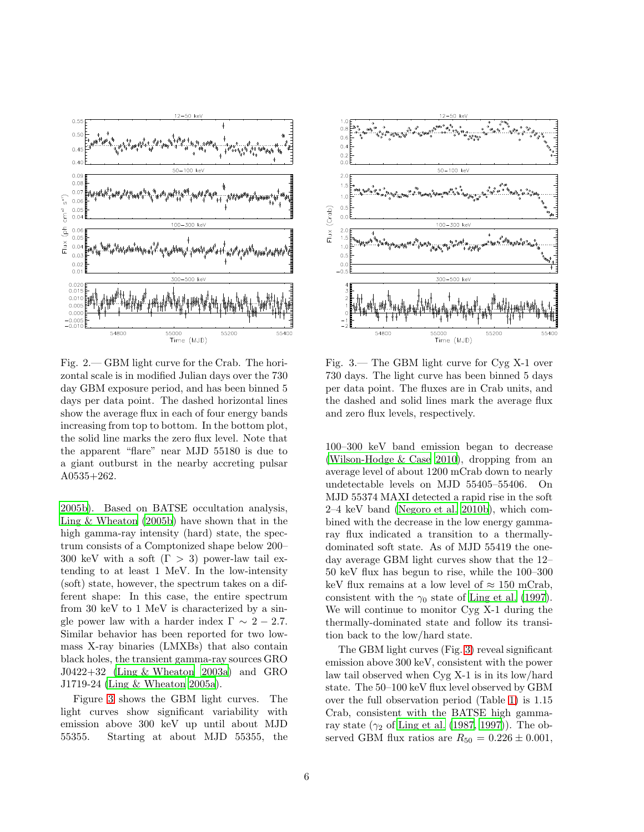

<span id="page-7-0"></span>Fig. 2.— GBM light curve for the Crab. The horizontal scale is in modified Julian days over the 730 day GBM exposure period, and has been binned 5 days per data point. The dashed horizontal lines show the average flux in each of four energy bands increasing from top to bottom. In the bottom plot, the solid line marks the zero flux level. Note that the apparent "flare" near MJD 55180 is due to a giant outburst in the nearby accreting pulsar A0535+262.

[2005b](#page-13-17)). Based on BATSE occultation analysis, [Ling & Wheaton \(2005b](#page-13-17)) have shown that in the high gamma-ray intensity (hard) state, the spectrum consists of a Comptonized shape below 200– 300 keV with a soft  $(\Gamma > 3)$  power-law tail extending to at least 1 MeV. In the low-intensity (soft) state, however, the spectrum takes on a different shape: In this case, the entire spectrum from 30 keV to 1 MeV is characterized by a single power law with a harder index  $\Gamma \sim 2 - 2.7$ . Similar behavior has been reported for two lowmass X-ray binaries (LMXBs) that also contain black holes, the transient gamma-ray sources GRO J0422+32 [\(Ling & Wheaton 2003a\)](#page-13-18) and GRO J1719-24 [\(Ling & Wheaton 2005a\)](#page-13-19).

Figure [3](#page-7-1) shows the GBM light curves. The light curves show significant variability with emission above 300 keV up until about MJD 55355. Starting at about MJD 55355, the



<span id="page-7-1"></span>Fig. 3.— The GBM light curve for Cyg X-1 over 730 days. The light curve has been binned 5 days per data point. The fluxes are in Crab units, and the dashed and solid lines mark the average flux and zero flux levels, respectively.

100–300 keV band emission began to decrease [\(Wilson-Hodge & Case 2010\)](#page-14-7), dropping from an average level of about 1200 mCrab down to nearly undetectable levels on MJD 55405–55406. On MJD 55374 MAXI detected a rapid rise in the soft 2–4 keV band [\(Negoro et al. 2010b\)](#page-14-8), which combined with the decrease in the low energy gammaray flux indicated a transition to a thermallydominated soft state. As of MJD 55419 the oneday average GBM light curves show that the 12– 50 keV flux has begun to rise, while the 100–300 keV flux remains at a low level of  $\approx 150$  mCrab, consistent with the  $\gamma_0$  state of [Ling et al. \(1997\)](#page-13-20). We will continue to monitor Cyg X-1 during the thermally-dominated state and follow its transition back to the low/hard state.

The GBM light curves (Fig. [3\)](#page-7-1) reveal significant emission above 300 keV, consistent with the power law tail observed when Cyg X-1 is in its low/hard state. The 50–100 keV flux level observed by GBM over the full observation period (Table [1\)](#page-6-0) is 1.15 Crab, consistent with the BATSE high gammaray state  $(\gamma_2$  of [Ling et al. \(1987,](#page-13-21) [1997\)](#page-13-20)). The observed GBM flux ratios are  $R_{50} = 0.226 \pm 0.001$ ,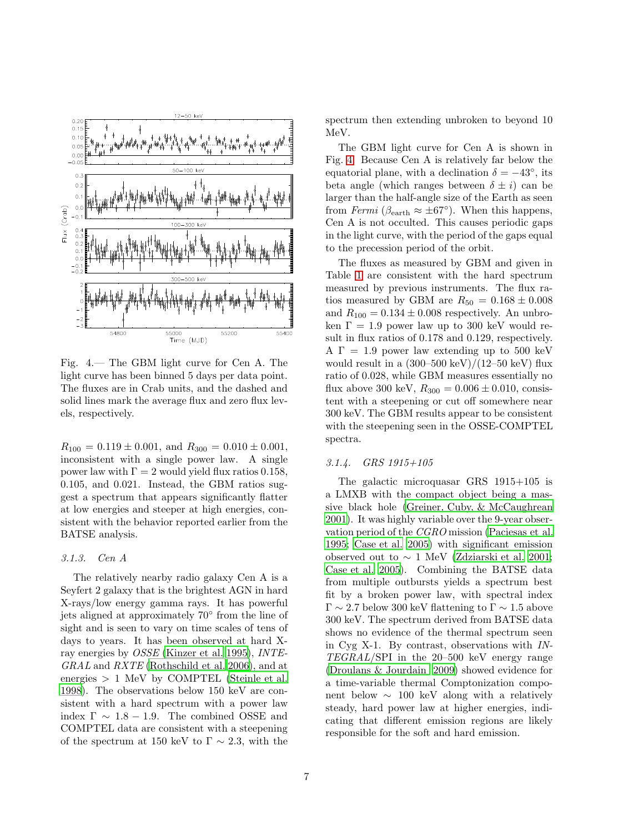

<span id="page-8-0"></span>Fig. 4.— The GBM light curve for Cen A. The light curve has been binned 5 days per data point. The fluxes are in Crab units, and the dashed and solid lines mark the average flux and zero flux levels, respectively.

 $R_{100} = 0.119 \pm 0.001$ , and  $R_{300} = 0.010 \pm 0.001$ , inconsistent with a single power law. A single power law with  $\Gamma = 2$  would yield flux ratios 0.158, 0.105, and 0.021. Instead, the GBM ratios suggest a spectrum that appears significantly flatter at low energies and steeper at high energies, consistent with the behavior reported earlier from the BATSE analysis.

#### 3.1.3. Cen A

The relatively nearby radio galaxy Cen A is a Seyfert 2 galaxy that is the brightest AGN in hard X-rays/low energy gamma rays. It has powerful jets aligned at approximately 70◦ from the line of sight and is seen to vary on time scales of tens of days to years. It has been observed at hard Xray energies by OSSE [\(Kinzer et al. 1995](#page-13-22)), INTE-GRAL and RXTE [\(Rothschild et al. 2006\)](#page-14-9), and at energies  $> 1$  MeV by COMPTEL [\(Steinle et al.](#page-14-10) [1998\)](#page-14-10). The observations below 150 keV are consistent with a hard spectrum with a power law index  $\Gamma \sim 1.8 - 1.9$ . The combined OSSE and COMPTEL data are consistent with a steepening of the spectrum at 150 keV to  $\Gamma \sim 2.3$ , with the

spectrum then extending unbroken to beyond 10 MeV.

The GBM light curve for Cen A is shown in Fig. [4.](#page-8-0) Because Cen A is relatively far below the equatorial plane, with a declination  $\delta = -43^{\circ}$ , its beta angle (which ranges between  $\delta \pm i$ ) can be larger than the half-angle size of the Earth as seen from Fermi ( $\beta_{\text{earth}} \approx \pm 67^{\circ}$ ). When this happens, Cen A is not occulted. This causes periodic gaps in the light curve, with the period of the gaps equal to the precession period of the orbit.

The fluxes as measured by GBM and given in Table [1](#page-6-0) are consistent with the hard spectrum measured by previous instruments. The flux ratios measured by GBM are  $R_{50} = 0.168 \pm 0.008$ and  $R_{100} = 0.134 \pm 0.008$  respectively. An unbroken  $\Gamma = 1.9$  power law up to 300 keV would result in flux ratios of 0.178 and 0.129, respectively.  $A \Gamma = 1.9$  power law extending up to 500 keV would result in a  $(300-500 \text{ keV})/(12-50 \text{ keV})$  flux ratio of 0.028, while GBM measures essentially no flux above 300 keV,  $R_{300} = 0.006 \pm 0.010$ , consistent with a steepening or cut off somewhere near 300 keV. The GBM results appear to be consistent with the steepening seen in the OSSE-COMPTEL spectra.

#### 3.1.4. GRS 1915+105

The galactic microquasar GRS 1915+105 is a LMXB with the compact object being a massive black hole [\(Greiner, Cuby, & McCaughrean](#page-13-23) [2001\)](#page-13-23). It was highly variable over the 9-year observation period of the CGRO mission [\(Paciesas et al.](#page-14-11) [1995;](#page-14-11) [Case et al. 2005\)](#page-13-24) with significant emission observed out to  $\sim 1$  MeV [\(Zdziarski et al. 2001;](#page-14-12) [Case et al. 2005\)](#page-13-24). Combining the BATSE data from multiple outbursts yields a spectrum best fit by a broken power law, with spectral index  $\Gamma \sim 2.7$  below 300 keV flattening to  $\Gamma \sim 1.5$  above 300 keV. The spectrum derived from BATSE data shows no evidence of the thermal spectrum seen in Cyg X-1. By contrast, observations with IN-TEGRAL/SPI in the 20–500 keV energy range [\(Droulans & Jourdain 2009\)](#page-13-25) showed evidence for a time-variable thermal Comptonization component below  $\sim 100 \text{ keV}$  along with a relatively steady, hard power law at higher energies, indicating that different emission regions are likely responsible for the soft and hard emission.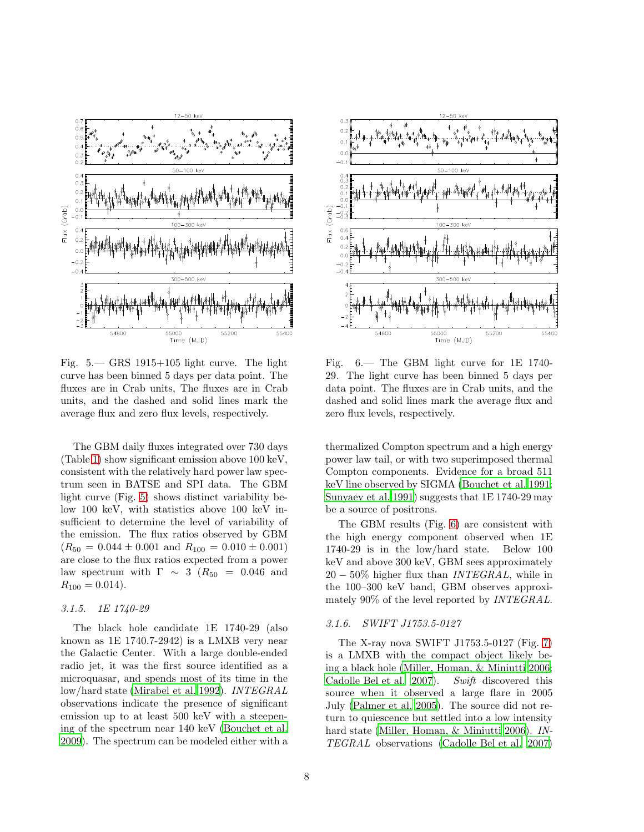

<span id="page-9-0"></span>Fig. 5.— GRS 1915+105 light curve. The light curve has been binned 5 days per data point. The fluxes are in Crab units, The fluxes are in Crab units, and the dashed and solid lines mark the average flux and zero flux levels, respectively.

The GBM daily fluxes integrated over 730 days (Table [1\)](#page-6-0) show significant emission above 100 keV, consistent with the relatively hard power law spectrum seen in BATSE and SPI data. The GBM light curve (Fig. [5\)](#page-9-0) shows distinct variability below 100 keV, with statistics above 100 keV insufficient to determine the level of variability of the emission. The flux ratios observed by GBM  $(R_{50} = 0.044 \pm 0.001$  and  $R_{100} = 0.010 \pm 0.001)$ are close to the flux ratios expected from a power law spectrum with  $\Gamma \sim 3$  ( $R_{50} = 0.046$  and  $R_{100} = 0.014$ .

#### 3.1.5. 1E 1740-29

The black hole candidate 1E 1740-29 (also known as 1E 1740.7-2942) is a LMXB very near the Galactic Center. With a large double-ended radio jet, it was the first source identified as a microquasar, and spends most of its time in the low/hard state [\(Mirabel et al. 1992](#page-14-13)). INTEGRAL observations indicate the presence of significant emission up to at least 500 keV with a steepening of the spectrum near 140 keV [\(Bouchet et al.](#page-13-26) [2009\)](#page-13-26). The spectrum can be modeled either with a



<span id="page-9-1"></span>Fig. 6.— The GBM light curve for 1E 1740- 29. The light curve has been binned 5 days per data point. The fluxes are in Crab units, and the dashed and solid lines mark the average flux and zero flux levels, respectively.

thermalized Compton spectrum and a high energy power law tail, or with two superimposed thermal Compton components. Evidence for a broad 511 keV line observed by SIGMA [\(Bouchet et al. 1991;](#page-13-27) [Sunyaev et al. 1991](#page-14-14)) suggests that 1E 1740-29 may be a source of positrons.

The GBM results (Fig. [6\)](#page-9-1) are consistent with the high energy component observed when 1E 1740-29 is in the low/hard state. Below 100 keV and above 300 keV, GBM sees approximately  $20 - 50\%$  higher flux than *INTEGRAL*, while in the 100–300 keV band, GBM observes approximately 90% of the level reported by *INTEGRAL*.

#### 3.1.6. SWIFT J1753.5-0127

The X-ray nova SWIFT J1753.5-0127 (Fig. [7\)](#page-10-0) is a LMXB with the compact object likely being a black hole [\(Miller, Homan, & Miniutti 2006;](#page-14-15) [Cadolle Bel et al. 2007\)](#page-13-28). Swift discovered this source when it observed a large flare in 2005 July [\(Palmer et al. 2005\)](#page-14-16). The source did not return to quiescence but settled into a low intensity hard state [\(Miller, Homan, & Miniutti 2006\)](#page-14-15). IN-TEGRAL observations [\(Cadolle Bel et al. 2007\)](#page-13-28)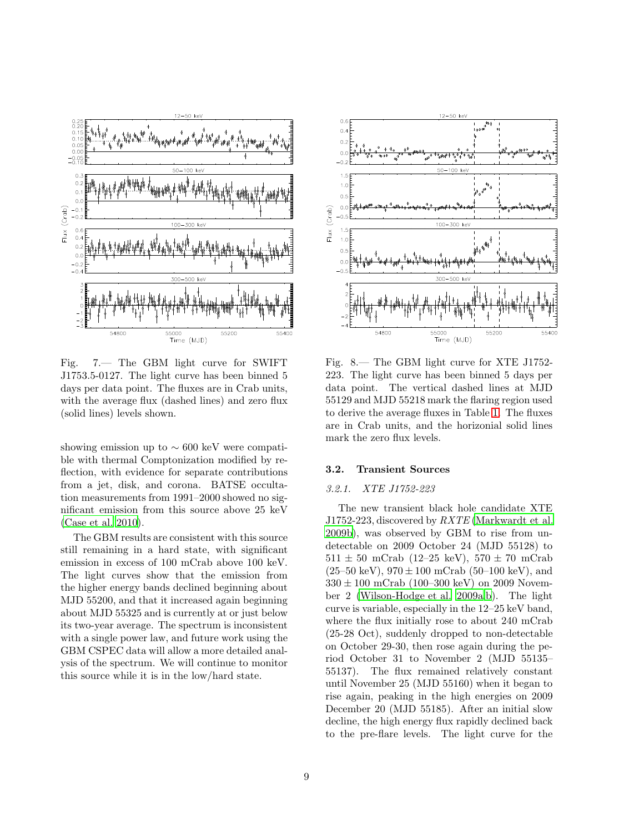

<span id="page-10-0"></span>Fig. 7.— The GBM light curve for SWIFT J1753.5-0127. The light curve has been binned 5 days per data point. The fluxes are in Crab units, with the average flux (dashed lines) and zero flux (solid lines) levels shown.

showing emission up to  $\sim 600 \text{ keV}$  were compatible with thermal Comptonization modified by reflection, with evidence for separate contributions from a jet, disk, and corona. BATSE occultation measurements from 1991–2000 showed no significant emission from this source above 25 keV [\(Case et al. 2010\)](#page-13-29).

The GBM results are consistent with this source still remaining in a hard state, with significant emission in excess of 100 mCrab above 100 keV. The light curves show that the emission from the higher energy bands declined beginning about MJD 55200, and that it increased again beginning about MJD 55325 and is currently at or just below its two-year average. The spectrum is inconsistent with a single power law, and future work using the GBM CSPEC data will allow a more detailed analysis of the spectrum. We will continue to monitor this source while it is in the low/hard state.



<span id="page-10-1"></span>Fig. 8.— The GBM light curve for XTE J1752- 223. The light curve has been binned 5 days per data point. The vertical dashed lines at MJD 55129 and MJD 55218 mark the flaring region used to derive the average fluxes in Table [1.](#page-6-0) The fluxes are in Crab units, and the horizonial solid lines mark the zero flux levels.

# 3.2. Transient Sources

# 3.2.1. XTE J1752-223

The new transient black hole candidate XTE J1752-223, discovered by  $RXTE$  [\(Markwardt et al.](#page-13-30) [2009b](#page-13-30)), was observed by GBM to rise from undetectable on 2009 October 24 (MJD 55128) to  $511 \pm 50$  mCrab (12–25 keV),  $570 \pm 70$  mCrab  $(25-50 \text{ keV})$ ,  $970 \pm 100 \text{ mCrab}$  (50–100 keV), and  $330 \pm 100$  mCrab (100–300 keV) on 2009 November 2 [\(Wilson-Hodge et al. 2009a](#page-14-3)[,b\)](#page-14-17). The light curve is variable, especially in the 12–25 keV band, where the flux initially rose to about 240 mCrab (25-28 Oct), suddenly dropped to non-detectable on October 29-30, then rose again during the period October 31 to November 2 (MJD 55135– 55137). The flux remained relatively constant until November 25 (MJD 55160) when it began to rise again, peaking in the high energies on 2009 December 20 (MJD 55185). After an initial slow decline, the high energy flux rapidly declined back to the pre-flare levels. The light curve for the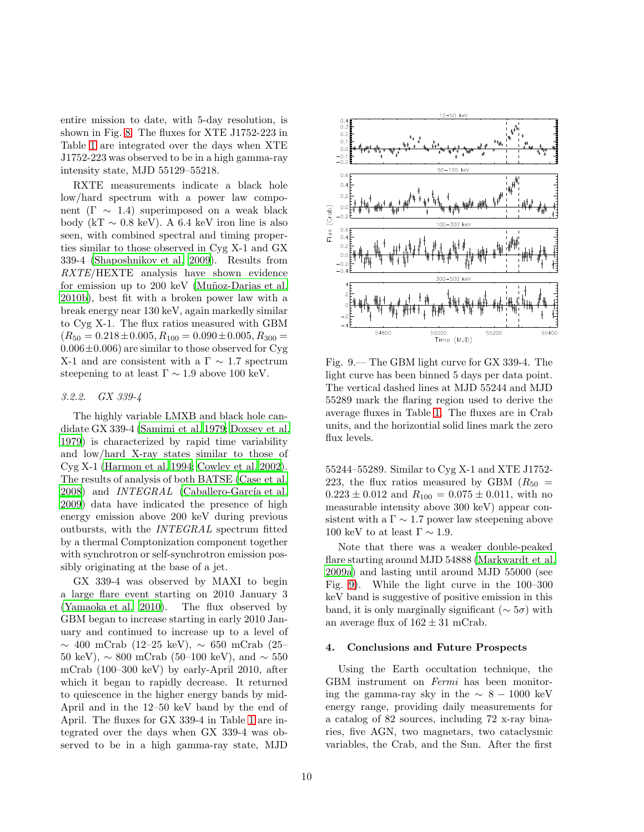entire mission to date, with 5-day resolution, is shown in Fig. [8.](#page-10-1) The fluxes for XTE J1752-223 in Table [1](#page-6-0) are integrated over the days when XTE J1752-223 was observed to be in a high gamma-ray intensity state, MJD 55129–55218.

RXTE measurements indicate a black hole low/hard spectrum with a power law component ( $\Gamma \sim 1.4$ ) superimposed on a weak black body (kT  $\sim$  0.8 keV). A 6.4 keV iron line is also seen, with combined spectral and timing properties similar to those observed in Cyg X-1 and GX 339-4 [\(Shaposhnikov et al. 2009\)](#page-14-18). Results from RXTE/HEXTE analysis have shown evidence for emission up to 200 keV (Muñoz-Darias et al. [2010b](#page-14-19)), best fit with a broken power law with a break energy near 130 keV, again markedly similar to Cyg X-1. The flux ratios measured with GBM  $(R_{50} = 0.218 \pm 0.005, R_{100} = 0.090 \pm 0.005, R_{300} =$  $0.006\pm0.006$ ) are similar to those observed for Cyg X-1 and are consistent with a  $\Gamma \sim 1.7$  spectrum steepening to at least  $\Gamma \sim 1.9$  above 100 keV.

#### 3.2.2. GX 339-4

The highly variable LMXB and black hole candidate GX 339-4 [\(Samimi et al. 1979](#page-14-20); [Doxsey et al.](#page-13-31) [1979\)](#page-13-31) is characterized by rapid time variability and low/hard X-ray states similar to those of Cyg X-1 [\(Harmon et al. 1994;](#page-13-32) [Cowley et al. 2002\)](#page-13-33). The results of analysis of both BATSE [\(Case et al.](#page-13-34) [2008\)](#page-13-34) and  $INTEGRAL$  (Caballero-García et al. [2009\)](#page-13-35) data have indicated the presence of high energy emission above 200 keV during previous outbursts, with the INTEGRAL spectrum fitted by a thermal Comptonization component together with synchrotron or self-synchrotron emission possibly originating at the base of a jet.

GX 339-4 was observed by MAXI to begin a large flare event starting on 2010 January 3 [\(Yamaoka et al. 2010\)](#page-14-21). The flux observed by GBM began to increase starting in early 2010 January and continued to increase up to a level of ∼ 400 mCrab (12–25 keV), ∼ 650 mCrab (25– 50 keV),  $\sim 800$  mCrab (50–100 keV), and  $\sim 550$ mCrab (100–300 keV) by early-April 2010, after which it began to rapidly decrease. It returned to quiescence in the higher energy bands by mid-April and in the 12–50 keV band by the end of April. The fluxes for GX 339-4 in Table [1](#page-6-0) are integrated over the days when GX 339-4 was observed to be in a high gamma-ray state, MJD



<span id="page-11-1"></span>Fig. 9.— The GBM light curve for GX 339-4. The light curve has been binned 5 days per data point. The vertical dashed lines at MJD 55244 and MJD 55289 mark the flaring region used to derive the average fluxes in Table [1.](#page-6-0) The fluxes are in Crab units, and the horizontial solid lines mark the zero flux levels.

55244–55289. Similar to Cyg X-1 and XTE J1752- 223, the flux ratios measured by GBM  $(R_{50}$  =  $0.223 \pm 0.012$  and  $R_{100} = 0.075 \pm 0.011$ , with no measurable intensity above 300 keV) appear consistent with a  $\Gamma \sim 1.7$  power law steepening above 100 keV to at least  $\Gamma \sim 1.9$ .

Note that there was a weaker double-peaked flare starting around MJD 54888 [\(Markwardt et al.](#page-13-36) [2009a\)](#page-13-36) and lasting until around MJD 55000 (see Fig. [9\)](#page-11-1). While the light curve in the 100–300 keV band is suggestive of positive emission in this band, it is only marginally significant ( $\sim 5\sigma$ ) with an average flux of  $162 \pm 31$  mCrab.

#### <span id="page-11-0"></span>4. Conclusions and Future Prospects

Using the Earth occultation technique, the GBM instrument on Fermi has been monitoring the gamma-ray sky in the  $\sim 8 - 1000 \text{ keV}$ energy range, providing daily measurements for a catalog of 82 sources, including 72 x-ray binaries, five AGN, two magnetars, two cataclysmic variables, the Crab, and the Sun. After the first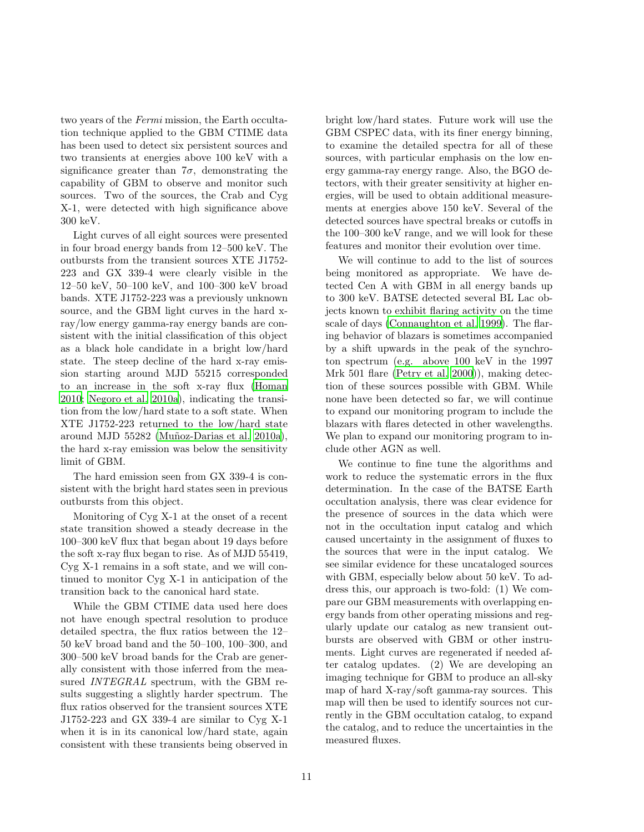two years of the Fermi mission, the Earth occultation technique applied to the GBM CTIME data has been used to detect six persistent sources and two transients at energies above 100 keV with a significance greater than  $7\sigma$ , demonstrating the capability of GBM to observe and monitor such sources. Two of the sources, the Crab and Cyg X-1, were detected with high significance above 300 keV.

Light curves of all eight sources were presented in four broad energy bands from 12–500 keV. The outbursts from the transient sources XTE J1752- 223 and GX 339-4 were clearly visible in the 12–50 keV, 50–100 keV, and 100–300 keV broad bands. XTE J1752-223 was a previously unknown source, and the GBM light curves in the hard xray/low energy gamma-ray energy bands are consistent with the initial classification of this object as a black hole candidate in a bright low/hard state. The steep decline of the hard x-ray emission starting around MJD 55215 corresponded to an increase in the soft x-ray flux [\(Homan](#page-13-37) [2010;](#page-13-37) [Negoro et al. 2010a\)](#page-14-22), indicating the transition from the low/hard state to a soft state. When XTE J1752-223 returned to the low/hard state around MJD 55282 (Muñoz-Darias et al. 2010a), the hard x-ray emission was below the sensitivity limit of GBM.

The hard emission seen from GX 339-4 is consistent with the bright hard states seen in previous outbursts from this object.

Monitoring of Cyg X-1 at the onset of a recent state transition showed a steady decrease in the 100–300 keV flux that began about 19 days before the soft x-ray flux began to rise. As of MJD 55419, Cyg X-1 remains in a soft state, and we will continued to monitor Cyg X-1 in anticipation of the transition back to the canonical hard state.

While the GBM CTIME data used here does not have enough spectral resolution to produce detailed spectra, the flux ratios between the 12– 50 keV broad band and the 50–100, 100–300, and 300–500 keV broad bands for the Crab are generally consistent with those inferred from the measured INTEGRAL spectrum, with the GBM results suggesting a slightly harder spectrum. The flux ratios observed for the transient sources XTE J1752-223 and GX 339-4 are similar to Cyg X-1 when it is in its canonical low/hard state, again consistent with these transients being observed in bright low/hard states. Future work will use the GBM CSPEC data, with its finer energy binning, to examine the detailed spectra for all of these sources, with particular emphasis on the low energy gamma-ray energy range. Also, the BGO detectors, with their greater sensitivity at higher energies, will be used to obtain additional measurements at energies above 150 keV. Several of the detected sources have spectral breaks or cutoffs in the 100–300 keV range, and we will look for these features and monitor their evolution over time.

We will continue to add to the list of sources being monitored as appropriate. We have detected Cen A with GBM in all energy bands up to 300 keV. BATSE detected several BL Lac objects known to exhibit flaring activity on the time scale of days [\(Connaughton et al. 1999\)](#page-13-38). The flaring behavior of blazars is sometimes accompanied by a shift upwards in the peak of the synchroton spectrum (e.g. above 100 keV in the 1997 Mrk 501 flare [\(Petry et al. 2000\)](#page-14-24)), making detection of these sources possible with GBM. While none have been detected so far, we will continue to expand our monitoring program to include the blazars with flares detected in other wavelengths. We plan to expand our monitoring program to include other AGN as well.

We continue to fine tune the algorithms and work to reduce the systematic errors in the flux determination. In the case of the BATSE Earth occultation analysis, there was clear evidence for the presence of sources in the data which were not in the occultation input catalog and which caused uncertainty in the assignment of fluxes to the sources that were in the input catalog. We see similar evidence for these uncataloged sources with GBM, especially below about 50 keV. To address this, our approach is two-fold: (1) We compare our GBM measurements with overlapping energy bands from other operating missions and regularly update our catalog as new transient outbursts are observed with GBM or other instruments. Light curves are regenerated if needed after catalog updates. (2) We are developing an imaging technique for GBM to produce an all-sky map of hard X-ray/soft gamma-ray sources. This map will then be used to identify sources not currently in the GBM occultation catalog, to expand the catalog, and to reduce the uncertainties in the measured fluxes.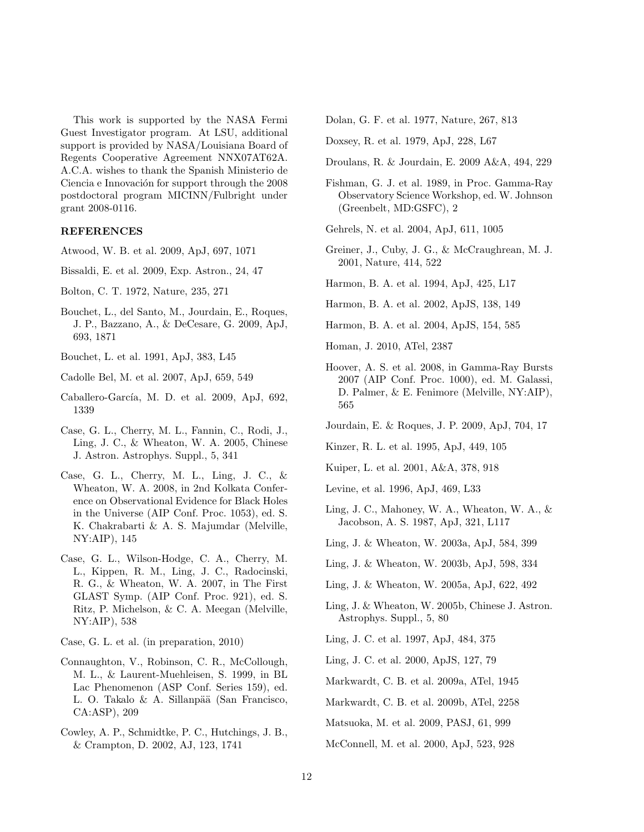This work is supported by the NASA Fermi Guest Investigator program. At LSU, additional support is provided by NASA/Louisiana Board of Regents Cooperative Agreement NNX07AT62A. A.C.A. wishes to thank the Spanish Ministerio de Ciencia e Innovación for support through the 2008 postdoctoral program MICINN/Fulbright under grant 2008-0116.

# REFERENCES

<span id="page-13-4"></span>Atwood, W. B. et al. 2009, ApJ, 697, 1071

- <span id="page-13-9"></span>Bissaldi, E. et al. 2009, Exp. Astron., 24, 47
- <span id="page-13-14"></span>Bolton, C. T. 1972, Nature, 235, 271
- <span id="page-13-26"></span>Bouchet, L., del Santo, M., Jourdain, E., Roques, J. P., Bazzano, A., & DeCesare, G. 2009, ApJ, 693, 1871
- <span id="page-13-27"></span>Bouchet, L. et al. 1991, ApJ, 383, L45
- <span id="page-13-28"></span>Cadolle Bel, M. et al. 2007, ApJ, 659, 549
- <span id="page-13-35"></span>Caballero-García, M. D. et al. 2009, ApJ, 692, 1339
- <span id="page-13-24"></span>Case, G. L., Cherry, M. L., Fannin, C., Rodi, J., Ling, J. C., & Wheaton, W. A. 2005, Chinese J. Astron. Astrophys. Suppl., 5, 341
- <span id="page-13-34"></span>Case, G. L., Cherry, M. L., Ling, J. C., & Wheaton, W. A. 2008, in 2nd Kolkata Conference on Observational Evidence for Black Holes in the Universe (AIP Conf. Proc. 1053), ed. S. K. Chakrabarti & A. S. Majumdar (Melville, NY:AIP), 145
- <span id="page-13-10"></span>Case, G. L., Wilson-Hodge, C. A., Cherry, M. L., Kippen, R. M., Ling, J. C., Radocinski, R. G., & Wheaton, W. A. 2007, in The First GLAST Symp. (AIP Conf. Proc. 921), ed. S. Ritz, P. Michelson, & C. A. Meegan (Melville, NY:AIP), 538

<span id="page-13-29"></span>Case, G. L. et al. (in preparation, 2010)

- <span id="page-13-38"></span>Connaughton, V., Robinson, C. R., McCollough, M. L., & Laurent-Muehleisen, S. 1999, in BL Lac Phenomenon (ASP Conf. Series 159), ed. L. O. Takalo & A. Sillanpää (San Francisco, CA:ASP), 209
- <span id="page-13-33"></span>Cowley, A. P., Schmidtke, P. C., Hutchings, J. B., & Crampton, D. 2002, AJ, 123, 1741

<span id="page-13-15"></span>Dolan, G. F. et al. 1977, Nature, 267, 813

<span id="page-13-31"></span>Doxsey, R. et al. 1979, ApJ, 228, L67

- <span id="page-13-25"></span>Droulans, R. & Jourdain, E. 2009 A&A, 494, 229
- <span id="page-13-3"></span>Fishman, G. J. et al. 1989, in Proc. Gamma-Ray Observatory Science Workshop, ed. W. Johnson (Greenbelt, MD:GSFC), 2

<span id="page-13-2"></span>Gehrels, N. et al. 2004, ApJ, 611, 1005

- <span id="page-13-23"></span>Greiner, J., Cuby, J. G., & McCraughrean, M. J. 2001, Nature, 414, 522
- <span id="page-13-32"></span>Harmon, B. A. et al. 1994, ApJ, 425, L17
- <span id="page-13-6"></span>Harmon, B. A. et al. 2002, ApJS, 138, 149
- <span id="page-13-7"></span>Harmon, B. A. et al. 2004, ApJS, 154, 585

<span id="page-13-37"></span>Homan, J. 2010, ATel, 2387

- <span id="page-13-8"></span>Hoover, A. S. et al. 2008, in Gamma-Ray Bursts 2007 (AIP Conf. Proc. 1000), ed. M. Galassi, D. Palmer, & E. Fenimore (Melville, NY:AIP), 565
- <span id="page-13-12"></span>Jourdain, E. & Roques, J. P. 2009, ApJ, 704, 17

<span id="page-13-22"></span>Kinzer, R. L. et al. 1995, ApJ, 449, 105

<span id="page-13-13"></span>Kuiper, L. et al. 2001, A&A, 378, 918

<span id="page-13-0"></span>Levine, et al. 1996, ApJ, 469, L33

- <span id="page-13-21"></span>Ling, J. C., Mahoney, W. A., Wheaton, W. A., & Jacobson, A. S. 1987, ApJ, 321, L117
- <span id="page-13-18"></span>Ling, J. & Wheaton, W. 2003a, ApJ, 584, 399
- <span id="page-13-11"></span>Ling, J. & Wheaton, W. 2003b, ApJ, 598, 334
- <span id="page-13-19"></span>Ling, J. & Wheaton, W. 2005a, ApJ, 622, 492
- <span id="page-13-17"></span>Ling, J. & Wheaton, W. 2005b, Chinese J. Astron. Astrophys. Suppl., 5, 80
- <span id="page-13-20"></span>Ling, J. C. et al. 1997, ApJ, 484, 375
- <span id="page-13-5"></span>Ling, J. C. et al. 2000, ApJS, 127, 79
- <span id="page-13-36"></span>Markwardt, C. B. et al. 2009a, ATel, 1945
- <span id="page-13-30"></span>Markwardt, C. B. et al. 2009b, ATel, 2258

<span id="page-13-1"></span>Matsuoka, M. et al. 2009, PASJ, 61, 999

<span id="page-13-16"></span>McConnell, M. et al. 2000, ApJ, 523, 928